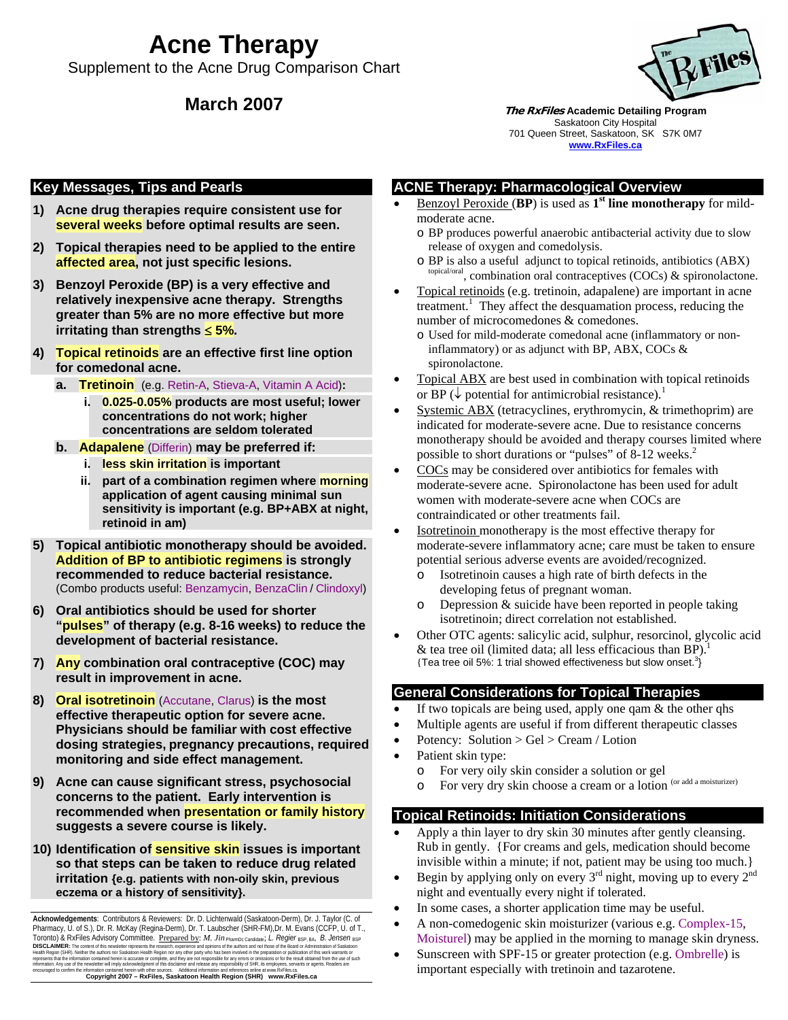# **Acne Therapy**

Supplement to the Acne Drug Comparison Chart

# **March 2007**



**The RxFiles Academic Detailing Program**  Saskatoon City Hospital 701 Queen Street, Saskatoon, SK S7K 0M7 **www.RxFiles.ca**

#### **Key Messages, Tips and Pearls**

- **1) Acne drug therapies require consistent use for several weeks before optimal results are seen.**
- **2) Topical therapies need to be applied to the entire affected area, not just specific lesions.**
- **3) Benzoyl Peroxide (BP) is a very effective and relatively inexpensive acne therapy. Strengths greater than 5% are no more effective but more irritating than strengths** ≤ **5%.**
- **4) Topical retinoids are an effective first line option for comedonal acne.** 
	- **a. Tretinoin** (e.g. Retin-A, Stieva-A, Vitamin A Acid)**:**
		- **i. 0.025-0.05% products are most useful; lower concentrations do not work; higher concentrations are seldom tolerated**
	- **b. Adapalene** (Differin) **may be preferred if:** 
		- **i. less skin irritation is important**
		- **ii. part of a combination regimen where morning application of agent causing minimal sun sensitivity is important (e.g. BP+ABX at night, retinoid in am)**
- **5) Topical antibiotic monotherapy should be avoided. Addition of BP to antibiotic regimens is strongly recommended to reduce bacterial resistance.**  (Combo products useful: Benzamycin, BenzaClin / Clindoxyl)
- **6) Oral antibiotics should be used for shorter "pulses" of therapy (e.g. 8-16 weeks) to reduce the development of bacterial resistance.**
- **7) Any combination oral contraceptive (COC) may result in improvement in acne.**
- **8) Oral isotretinoin** (Accutane, Clarus) **is the most effective therapeutic option for severe acne. Physicians should be familiar with cost effective dosing strategies, pregnancy precautions, required monitoring and side effect management.**
- **9) Acne can cause significant stress, psychosocial concerns to the patient. Early intervention is recommended when presentation or family history suggests a severe course is likely.**
- **10) Identification of sensitive skin issues is important so that steps can be taken to reduce drug related irritation {e.g. patients with non-oily skin, previous eczema or a history of sensitivity}.**

**Acknowledgements**: Contributors & Reviewers: Dr. D. Lichtenwald (Saskatoon-Derm), Dr. J. Taylor (C. of Pharmacy, U. of S.), Dr. R. McKay (Regina-Derm), Dr. T. Laubscher (SHR-FM),Dr. M. Evans (CCFP, U. of T., Toronto) & RxFiles Advisory Committee. Prepared by: *M. Jin* PharmDc Candidate; *L. Regier* BSP, BA, *B. Jensen* BSP **DISCLAIMER:** The content of this newsletter represents the research, experience and opinions of the authors and not three Board or Administration of Saskatoon<br>Health Region (SHP), Neither the authors no "Saskatoon Health **Copyright 2007 – RxFiles, Saskatoon Health Region (SHR) www.RxFiles.ca**

#### **ACNE Therapy: Pharmacological Overview**

- Benzoyl Peroxide (**BP**) is used as **1st line monotherapy** for mildmoderate acne.
	- o BP produces powerful anaerobic antibacterial activity due to slow release of oxygen and comedolysis.
	- o BP is also a useful adjunct to topical retinoids, antibiotics (ABX) topical/oral, combination oral contraceptives (COCs) & spironolactone.
- Topical retinoids (e.g. tretinoin, adapalene) are important in acne treatment.<sup>1</sup> They affect the desquamation process, reducing the number of microcomedones & comedones.
	- o Used for mild-moderate comedonal acne (inflammatory or noninflammatory) or as adjunct with BP, ABX, COCs  $\&$ spironolactone.
- Topical ABX are best used in combination with topical retinoids or BP ( $\downarrow$  potential for antimicrobial resistance).<sup>1</sup>
- Systemic ABX (tetracyclines, erythromycin, & trimethoprim) are indicated for moderate-severe acne. Due to resistance concerns monotherapy should be avoided and therapy courses limited where possible to short durations or "pulses" of 8-12 weeks.<sup>2</sup>
- COCs may be considered over antibiotics for females with moderate-severe acne. Spironolactone has been used for adult women with moderate-severe acne when COCs are contraindicated or other treatments fail.
- Isotretinoin monotherapy is the most effective therapy for moderate-severe inflammatory acne; care must be taken to ensure potential serious adverse events are avoided/recognized.
	- o Isotretinoin causes a high rate of birth defects in the developing fetus of pregnant woman.
	- o Depression & suicide have been reported in people taking isotretinoin; direct correlation not established.
- Other OTC agents: salicylic acid, sulphur, resorcinol, glycolic acid  $&$  tea tree oil (limited data; all less efficacious than BP). {Tea tree oil 5%: 1 trial showed effectiveness but slow onset.<sup>3</sup>}

#### **General Considerations for Topical Therapies**

- If two topicals are being used, apply one qam  $&$  the other qhs
- Multiple agents are useful if from different therapeutic classes
- Potency: Solution > Gel > Cream / Lotion
- Patient skin type:
	- o For very oily skin consider a solution or gel
	- o For very dry skin choose a cream or a lotion (or add a moisturizer)

#### **Topical Retinoids: Initiation Considerations**

- Apply a thin layer to dry skin 30 minutes after gently cleansing. Rub in gently. {For creams and gels, medication should become invisible within a minute; if not, patient may be using too much.}
- Begin by applying only on every  $3<sup>rd</sup>$  night, moving up to every  $2<sup>nd</sup>$ night and eventually every night if tolerated.
- In some cases, a shorter application time may be useful.
- A non-comedogenic skin moisturizer (various e.g. Complex-15, Moisturel) may be applied in the morning to manage skin dryness.
- Sunscreen with SPF-15 or greater protection (e.g. Ombrelle) is important especially with tretinoin and tazarotene.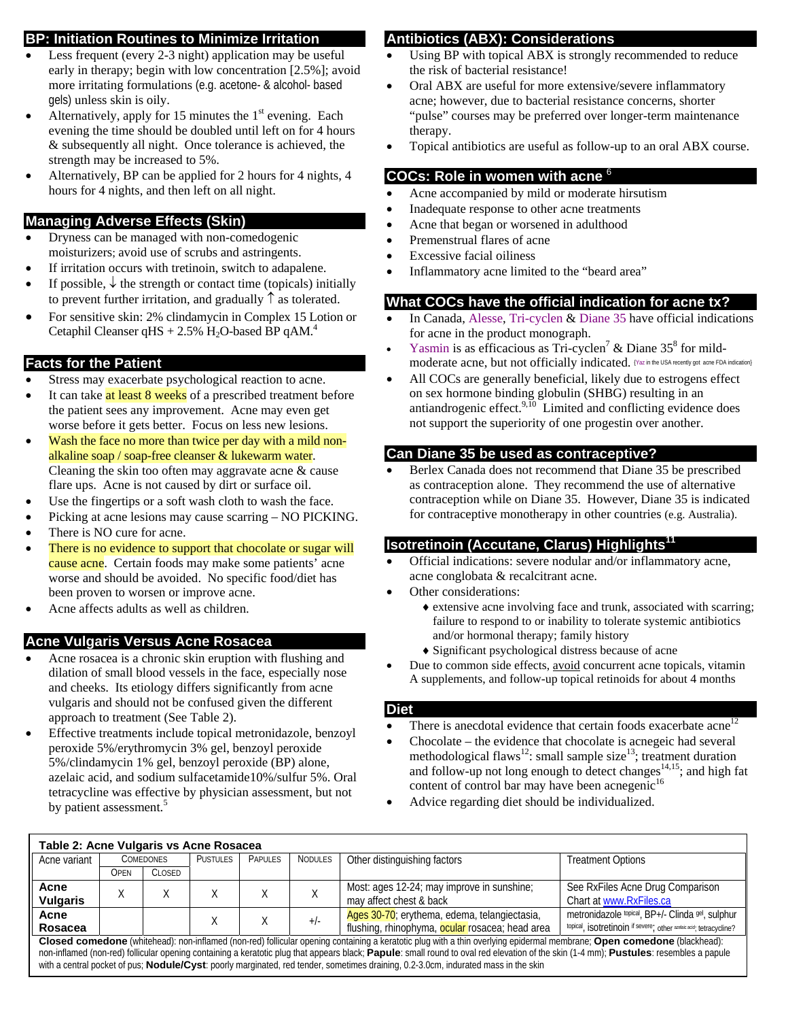#### **BP: Initiation Routines to Minimize Irritation**

- Less frequent (every 2-3 night) application may be useful early in therapy; begin with low concentration [2.5%]; avoid more irritating formulations (e.g. acetone- & alcohol- based gels) unless skin is oily.
- Alternatively, apply for 15 minutes the  $1<sup>st</sup>$  evening. Each evening the time should be doubled until left on for 4 hours & subsequently all night. Once tolerance is achieved, the strength may be increased to 5%.
- Alternatively, BP can be applied for 2 hours for 4 nights, 4 hours for 4 nights, and then left on all night.

### **Managing Adverse Effects (Skin)**

- Dryness can be managed with non-comedogenic moisturizers; avoid use of scrubs and astringents.
- If irritation occurs with tretinoin, switch to adapalene.
- If possible,  $\downarrow$  the strength or contact time (topicals) initially to prevent further irritation, and gradually  $\uparrow$  as tolerated.
- For sensitive skin: 2% clindamycin in Complex 15 Lotion or Cetaphil Cleanser qHS  $+ 2.5\%$  H<sub>2</sub>O-based BP qAM.<sup>4</sup>

### **Facts for the Patient**

- Stress may exacerbate psychological reaction to acne.
- It can take at least 8 weeks of a prescribed treatment before the patient sees any improvement. Acne may even get worse before it gets better. Focus on less new lesions.
- Wash the face no more than twice per day with a mild nonalkaline soap / soap-free cleanser & lukewarm water. Cleaning the skin too often may aggravate acne & cause flare ups. Acne is not caused by dirt or surface oil.
- Use the fingertips or a soft wash cloth to wash the face.
- Picking at acne lesions may cause scarring NO PICKING.
- There is NO cure for acne.
- There is no evidence to support that chocolate or sugar will cause acne. Certain foods may make some patients' acne worse and should be avoided. No specific food/diet has been proven to worsen or improve acne.
- Acne affects adults as well as children.

## **Acne Vulgaris Versus Acne Rosacea**

- Acne rosacea is a chronic skin eruption with flushing and dilation of small blood vessels in the face, especially nose and cheeks. Its etiology differs significantly from acne vulgaris and should not be confused given the different approach to treatment (See Table 2).
- Effective treatments include topical metronidazole, benzoyl peroxide 5%/erythromycin 3% gel, benzoyl peroxide 5%/clindamycin 1% gel, benzoyl peroxide (BP) alone, azelaic acid, and sodium sulfacetamide10%/sulfur 5%. Oral tetracycline was effective by physician assessment, but not by patient assessment.<sup>5</sup>

# **Antibiotics (ABX): Considerations**

- Using BP with topical ABX is strongly recommended to reduce the risk of bacterial resistance!
- Oral ABX are useful for more extensive/severe inflammatory acne; however, due to bacterial resistance concerns, shorter "pulse" courses may be preferred over longer-term maintenance therapy.
- Topical antibiotics are useful as follow-up to an oral ABX course.

### **COCs: Role in women with acne** <sup>6</sup>

- Acne accompanied by mild or moderate hirsutism
- Inadequate response to other acne treatments
- Acne that began or worsened in adulthood
- Premenstrual flares of acne
- Excessive facial oiliness
- Inflammatory acne limited to the "beard area"

## **What COCs have the official indication for acne tx?**

- In Canada, Alesse, Tri-cyclen & Diane 35 have official indications for acne in the product monograph.
- Yasmin is as efficacious as Tri-cyclen<sup>7</sup> & Diane  $35^8$  for mildmoderate acne, but not officially indicated. (Yaz in the USA recently got acne FDA indication)
- All COCs are generally beneficial, likely due to estrogens effect on sex hormone binding globulin (SHBG) resulting in an antiandrogenic effect.<sup>9,10</sup> Limited and conflicting evidence does not support the superiority of one progestin over another.

#### **Can Diane 35 be used as contraceptive?**

• Berlex Canada does not recommend that Diane 35 be prescribed as contraception alone. They recommend the use of alternative contraception while on Diane 35. However, Diane 35 is indicated for contraceptive monotherapy in other countries (e.g. Australia).

## **Isotretinoin (Accutane, Clarus) Highlights<sup>11</sup>**

- Official indications: severe nodular and/or inflammatory acne, acne conglobata & recalcitrant acne.
- Other considerations:
	- ♦ extensive acne involving face and trunk, associated with scarring; failure to respond to or inability to tolerate systemic antibiotics and/or hormonal therapy; family history
	- ♦ Significant psychological distress because of acne
- Due to common side effects, avoid concurrent acne topicals, vitamin A supplements, and follow-up topical retinoids for about 4 months

#### **Diet**

- There is anecdotal evidence that certain foods exacerbate acne<sup>12</sup>
- Chocolate the evidence that chocolate is acnegeic had several methodological flaws<sup>12</sup>: small sample size<sup>13</sup>; treatment duration and follow-up not long enough to detect changes<sup>14,15</sup>; and high fat content of control bar may have been acnegenic<sup>16</sup>
- Advice regarding diet should be individualized.

| Table 2: Acne Vulgaris vs Acne Rosacea                                                                                                                                                                                                                                                                                                                                                                                                                                                                   |           |        |                 |                |                         |                                                 |                                                                    |  |  |
|----------------------------------------------------------------------------------------------------------------------------------------------------------------------------------------------------------------------------------------------------------------------------------------------------------------------------------------------------------------------------------------------------------------------------------------------------------------------------------------------------------|-----------|--------|-----------------|----------------|-------------------------|-------------------------------------------------|--------------------------------------------------------------------|--|--|
| Acne variant                                                                                                                                                                                                                                                                                                                                                                                                                                                                                             | COMEDONES |        | <b>PUSTULES</b> | <b>PAPULES</b> | <b>NODULES</b>          | Other distinguishing factors                    | <b>Treatment Options</b>                                           |  |  |
|                                                                                                                                                                                                                                                                                                                                                                                                                                                                                                          | OPEN      | CLOSED |                 |                |                         |                                                 |                                                                    |  |  |
| Acne                                                                                                                                                                                                                                                                                                                                                                                                                                                                                                     |           |        |                 |                |                         | Most: ages 12-24; may improve in sunshine;      | See RxFiles Acne Drug Comparison                                   |  |  |
| <b>Vulgaris</b>                                                                                                                                                                                                                                                                                                                                                                                                                                                                                          |           |        |                 |                | may affect chest & back | Chart at www.RxFiles.ca                         |                                                                    |  |  |
| Acne                                                                                                                                                                                                                                                                                                                                                                                                                                                                                                     |           |        |                 |                | $+/-$                   | Ages 30-70; erythema, edema, telangiectasia,    | metronidazole topical, BP+/- Clinda gel, sulphur                   |  |  |
| Rosacea                                                                                                                                                                                                                                                                                                                                                                                                                                                                                                  |           |        |                 |                |                         | flushing, rhinophyma, ocular rosacea; head area | topical, isotretinoin if severe; other azelalc acid; tetracycline? |  |  |
| Closed comedone (whitehead): non-inflamed (non-red) follicular opening containing a keratotic plug with a thin overlying epidermal membrane; Open comedone (blackhead):<br>non-inflamed (non-red) follicular opening containing a keratotic plug that appears black; Papule: small round to oval red elevation of the skin (1-4 mm); Pustules: resembles a papule<br>with a central pocket of pus; Nodule/Cyst: poorly marginated, red tender, sometimes draining, 0.2-3.0cm, indurated mass in the skin |           |        |                 |                |                         |                                                 |                                                                    |  |  |